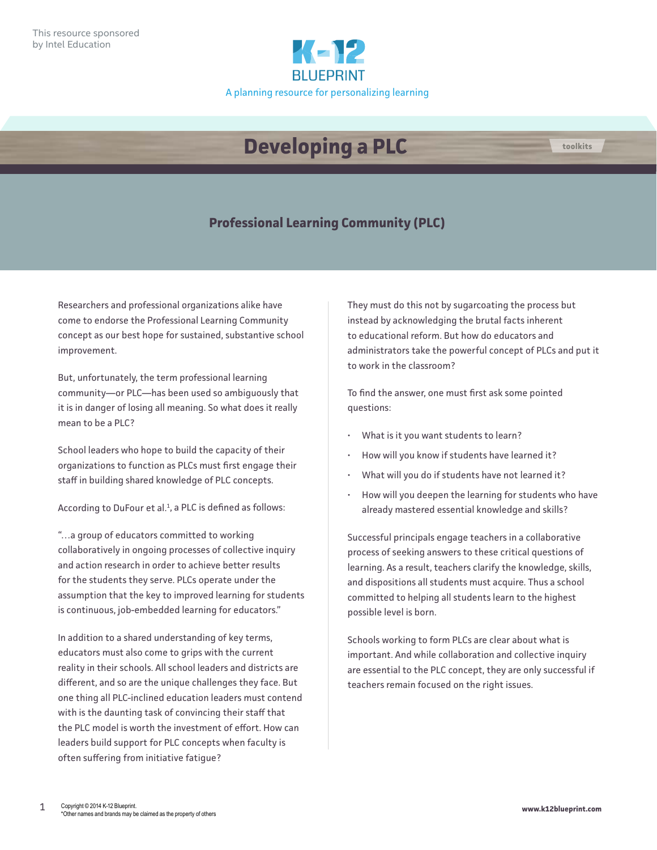

## **Developing a PLC**



Researchers and professional organizations alike have come to endorse the Professional Learning Community concept as our best hope for sustained, substantive school improvement.

But, unfortunately, the term professional learning community—or PLC—has been used so ambiguously that it is in danger of losing all meaning. So what does it really mean to be a PLC?

School leaders who hope to build the capacity of their organizations to function as PLCs must first engage their staff in building shared knowledge of PLC concepts.

According to DuFour et al. $<sup>1</sup>$ , a PLC is defined as follows:</sup>

"…a group of educators committed to working collaboratively in ongoing processes of collective inquiry and action research in order to achieve better results for the students they serve. PLCs operate under the assumption that the key to improved learning for students is continuous, job-embedded learning for educators."

In addition to a shared understanding of key terms, educators must also come to grips with the current reality in their schools. All school leaders and districts are different, and so are the unique challenges they face. But one thing all PLC-inclined education leaders must contend with is the daunting task of convincing their staff that the PLC model is worth the investment of effort. How can leaders build support for PLC concepts when faculty is often suffering from initiative fatigue?

They must do this not by sugarcoating the process but instead by acknowledging the brutal facts inherent to educational reform. But how do educators and administrators take the powerful concept of PLCs and put it to work in the classroom?

**toolkits**

To find the answer, one must first ask some pointed questions:

- What is it you want students to learn?
- How will you know if students have learned it?
- What will you do if students have not learned it?
- How will you deepen the learning for students who have already mastered essential knowledge and skills?

Successful principals engage teachers in a collaborative process of seeking answers to these critical questions of learning. As a result, teachers clarify the knowledge, skills, and dispositions all students must acquire. Thus a school committed to helping all students learn to the highest possible level is born.

Schools working to form PLCs are clear about what is important. And while collaboration and collective inquiry are essential to the PLC concept, they are only successful if teachers remain focused on the right issues.